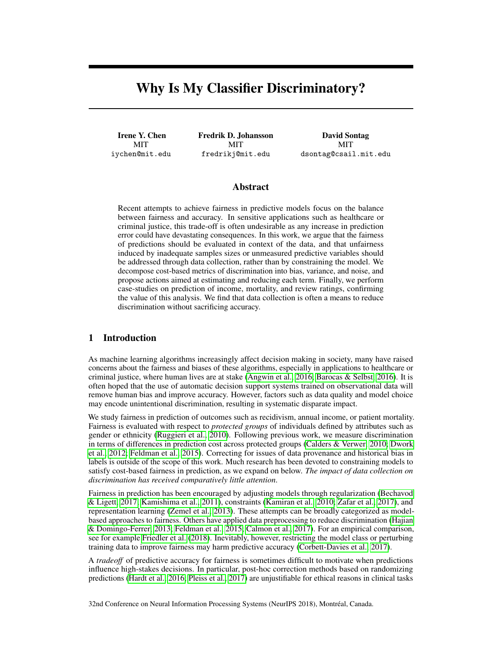# Why Is My Classifier Discriminatory?

Irene Y. Chen MIT iychen@mit.edu Fredrik D. Johansson MIT fredrikj@mit.edu

David Sontag MIT dsontag@csail.mit.edu

# Abstract

Recent attempts to achieve fairness in predictive models focus on the balance between fairness and accuracy. In sensitive applications such as healthcare or criminal justice, this trade-off is often undesirable as any increase in prediction error could have devastating consequences. In this work, we argue that the fairness of predictions should be evaluated in context of the data, and that unfairness induced by inadequate samples sizes or unmeasured predictive variables should be addressed through data collection, rather than by constraining the model. We decompose cost-based metrics of discrimination into bias, variance, and noise, and propose actions aimed at estimating and reducing each term. Finally, we perform case-studies on prediction of income, mortality, and review ratings, confirming the value of this analysis. We find that data collection is often a means to reduce discrimination without sacrificing accuracy.

# 1 Introduction

As machine learning algorithms increasingly affect decision making in society, many have raised concerns about the fairness and biases of these algorithms, especially in applications to healthcare or criminal justice, where human lives are at stake (Angwin et al., 2016; Barocas & Selbst, 2016). It is often hoped that the use of automatic decision support systems trained on observational data will remove human bias and improve accuracy. However, factors such as data quality and model choice may encode unintentional discrimination, resulting in systematic disparate impact.

We study fairness in prediction of outcomes such as recidivism, annual income, or patient mortality. Fairness is evaluated with respect to *protected groups* of individuals defined by attributes such as gender or ethnicity (Ruggieri et al., 2010). Following previous work, we measure discrimination in terms of differences in prediction cost across protected groups (Calders & Verwer, 2010; Dwork et al., 2012; Feldman et al., 2015). Correcting for issues of data provenance and historical bias in labels is outside of the scope of this work. Much research has been devoted to constraining models to satisfy cost-based fairness in prediction, as we expand on below. *The impact of data collection on discrimination has received comparatively little attention*.

Fairness in prediction has been encouraged by adjusting models through regularization (Bechavod & Ligett, 2017; Kamishima et al., 2011), constraints (Kamiran et al., 2010; Zafar et al., 2017), and representation learning (Zemel et al., 2013). These attempts can be broadly categorized as modelbased approaches to fairness. Others have applied data preprocessing to reduce discrimination (Hajian & Domingo-Ferrer, 2013; Feldman et al., 2015; Calmon et al., 2017). For an empirical comparison, see for example Friedler et al. (2018). Inevitably, however, restricting the model class or perturbing training data to improve fairness may harm predictive accuracy (Corbett-Davies et al., 2017).

A *tradeoff* of predictive accuracy for fairness is sometimes difficult to motivate when predictions influence high-stakes decisions. In particular, post-hoc correction methods based on randomizing predictions (Hardt et al., 2016; Pleiss et al., 2017) are unjustifiable for ethical reasons in clinical tasks

32nd Conference on Neural Information Processing Systems (NeurIPS 2018), Montréal, Canada.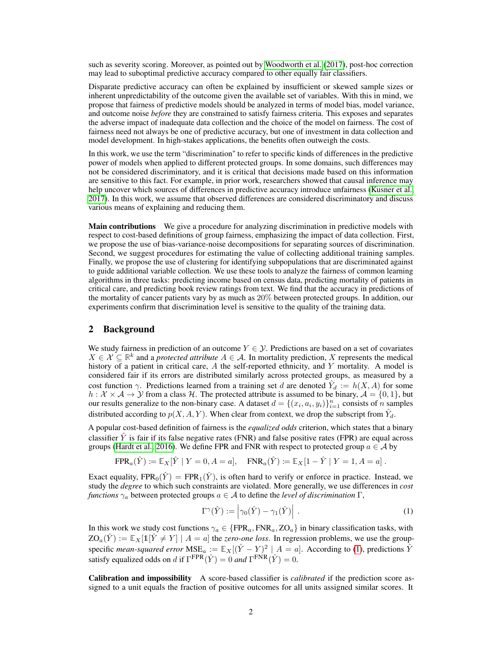such as severity scoring. Moreover, as pointed out by Woodworth et al. (2017), post-hoc correction may lead to suboptimal predictive accuracy compared to other equally fair classifiers.

Disparate predictive accuracy can often be explained by insufficient or skewed sample sizes or inherent unpredictability of the outcome given the available set of variables. With this in mind, we propose that fairness of predictive models should be analyzed in terms of model bias, model variance, and outcome noise *before* they are constrained to satisfy fairness criteria. This exposes and separates the adverse impact of inadequate data collection and the choice of the model on fairness. The cost of fairness need not always be one of predictive accuracy, but one of investment in data collection and model development. In high-stakes applications, the benefits often outweigh the costs.

In this work, we use the term "discrimination" to refer to specific kinds of differences in the predictive power of models when applied to different protected groups. In some domains, such differences may not be considered discriminatory, and it is critical that decisions made based on this information are sensitive to this fact. For example, in prior work, researchers showed that causal inference may help uncover which sources of differences in predictive accuracy introduce unfairness (Kusner et al., 2017). In this work, we assume that observed differences are considered discriminatory and discuss various means of explaining and reducing them.

Main contributions We give a procedure for analyzing discrimination in predictive models with respect to cost-based definitions of group fairness, emphasizing the impact of data collection. First, we propose the use of bias-variance-noise decompositions for separating sources of discrimination. Second, we suggest procedures for estimating the value of collecting additional training samples. Finally, we propose the use of clustering for identifying subpopulations that are discriminated against to guide additional variable collection. We use these tools to analyze the fairness of common learning algorithms in three tasks: predicting income based on census data, predicting mortality of patients in critical care, and predicting book review ratings from text. We find that the accuracy in predictions of the mortality of cancer patients vary by as much as 20% between protected groups. In addition, our experiments confirm that discrimination level is sensitive to the quality of the training data.

# 2 Background

We study fairness in prediction of an outcome  $Y \in \mathcal{Y}$ . Predictions are based on a set of covariates  $X \in \mathcal{X} \subseteq \mathbb{R}^k$  and a *protected attribute*  $A \in \mathcal{A}$ . In mortality prediction, X represents the medical history of a patient in critical care,  $A$  the self-reported ethnicity, and  $Y$  mortality. A model is considered fair if its errors are distributed similarly across protected groups, as measured by a cost function  $\gamma$ . Predictions learned from a training set d are denoted  $\hat{Y}_d := h(X, A)$  for some  $h: \mathcal{X} \times \mathcal{A} \to \mathcal{Y}$  from a class H. The protected attribute is assumed to be binary,  $\mathcal{A} = \{0, 1\}$ , but our results generalize to the non-binary case. A dataset  $d = \{(x_i, a_i, y_i)\}_{i=1}^n$  consists of *n* samples distributed according to  $p(X, A, Y)$ . When clear from context, we drop the subscript from  $\hat{Y}_d$ .

A popular cost-based definition of fairness is the *equalized odds* criterion, which states that a binary classifier  $\hat{Y}$  is fair if its false negative rates (FNR) and false positive rates (FPR) are equal across groups (Hardt et al., 2016). We define FPR and FNR with respect to protected group  $a \in \mathcal{A}$  by

$$
\text{FPR}_a(\hat{Y}) \coloneqq \mathbb{E}_X[\hat{Y} | Y = 0, A = a], \quad \text{FNR}_a(\hat{Y}) \coloneqq \mathbb{E}_X[1 - \hat{Y} | Y = 1, A = a].
$$

Exact equality,  $FPR_0(\hat{Y}) = FPR_1(\hat{Y})$ , is often hard to verify or enforce in practice. Instead, we study the *degree* to which such constraints are violated. More generally, we use differences in *cost functions*  $\gamma_a$  between protected groups  $a \in A$  to define the *level of discrimination*  $\Gamma$ ,

$$
\Gamma^{\gamma}(\hat{Y}) := \left| \gamma_0(\hat{Y}) - \gamma_1(\hat{Y}) \right| \,. \tag{1}
$$

In this work we study cost functions  $\gamma_a \in \{FPR_a, FNR_a, ZO_a\}$  in binary classification tasks, with  $ZO_a(\hat{Y}) := \mathbb{E}_X[\mathbb{1}[\hat{Y} \neq Y] \mid A = a]$  the *zero-one loss*. In regression problems, we use the groupspecific *mean-squared error*  $MSE_a := \mathbb{E}_X[(\hat{Y} - Y)^2 \mid A = a]$ . According to (1), predictions  $\hat{Y}$ satisfy equalized odds on d if  $\Gamma^{\text{FPR}}(\hat{Y}) = 0$  and  $\Gamma^{\text{FNR}}(\hat{Y}) = 0$ .

Calibration and impossibility A score-based classifier is *calibrated* if the prediction score assigned to a unit equals the fraction of positive outcomes for all units assigned similar scores. It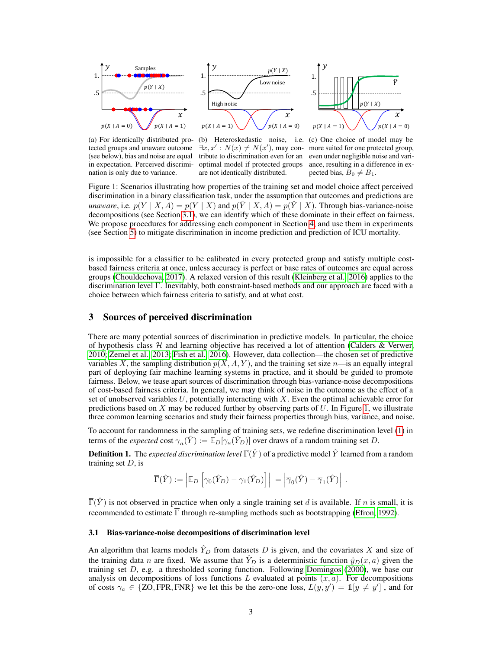

(a) For identically distributed protected groups and unaware outcome (see below), bias and noise are equal in expectation. Perceived discrimination is only due to variance.

(b) Heteroskedastic noise, i.e. (c) One choice of model may be  $\exists x, x' : N(x) \neq N(x')$ , may con- more suited for one protected group, tribute to discrimination even for an even under negligible noise and varioptimal model if protected groups are not identically distributed.

ance, resulting in a difference in expected bias,  $B_0 \neq B_1$ .

Figure 1: Scenarios illustrating how properties of the training set and model choice affect perceived discrimination in a binary classification task, under the assumption that outcomes and predictions are *unaware*, i.e.  $p(Y | X, A) = p(Y | X)$  and  $p(Y | X, A) = p(Y | X)$ . Through bias-variance-noise decompositions (see Section 3.1), we can identify which of these dominate in their effect on fairness. We propose procedures for addressing each component in Section 4, and use them in experiments (see Section 5) to mitigate discrimination in income prediction and prediction of ICU mortality.

is impossible for a classifier to be calibrated in every protected group and satisfy multiple costbased fairness criteria at once, unless accuracy is perfect or base rates of outcomes are equal across groups (Chouldechova, 2017). A relaxed version of this result (Kleinberg et al., 2016) applies to the discrimination level Γ. Inevitably, both constraint-based methods and our approach are faced with a choice between which fairness criteria to satisfy, and at what cost.

#### 3 Sources of perceived discrimination

There are many potential sources of discrimination in predictive models. In particular, the choice of hypothesis class  $H$  and learning objective has received a lot of attention (Calders & Verwer, 2010; Zemel et al., 2013; Fish et al., 2016). However, data collection—the chosen set of predictive variables X, the sampling distribution  $p(X, A, Y)$ , and the training set size  $n$ —is an equally integral part of deploying fair machine learning systems in practice, and it should be guided to promote fairness. Below, we tease apart sources of discrimination through bias-variance-noise decompositions of cost-based fairness criteria. In general, we may think of noise in the outcome as the effect of a set of unobserved variables  $U$ , potentially interacting with  $X$ . Even the optimal achievable error for predictions based on X may be reduced further by observing parts of  $U$ . In Figure 1, we illustrate three common learning scenarios and study their fairness properties through bias, variance, and noise.

To account for randomness in the sampling of training sets, we redefine discrimination level (1) in terms of the *expected* cost  $\overline{\gamma}_a(\hat{Y}) := \mathbb{E}_D[\gamma_a(\hat{Y}_D)]$  over draws of a random training set D.

**Definition 1.** The *expected discrimination level*  $\overline{\Gamma}(\hat{Y})$  of a predictive model  $\hat{Y}$  learned from a random training set  $D$ , is

$$
\overline{\Gamma}(\hat{Y}) := \left| \mathbb{E}_D \left[ \gamma_0(\hat{Y}_D) - \gamma_1(\hat{Y}_D) \right] \right| = \left| \overline{\gamma}_0(\hat{Y}) - \overline{\gamma}_1(\hat{Y}) \right| .
$$

 $\overline{\Gamma}(Y)$  is not observed in practice when only a single training set d is available. If n is small, it is recommended to estimate  $\overline{\Gamma}$  through re-sampling methods such as bootstrapping (Efron, 1992).

#### 3.1 Bias-variance-noise decompositions of discrimination level

An algorithm that learns models  $\hat{Y}_D$  from datasets D is given, and the covariates X and size of the training data n are fixed. We assume that  $\hat{Y}_D$  is a deterministic function  $\hat{y}_D(x, a)$  given the training set  $D$ , e.g. a thresholded scoring function. Following Domingos (2000), we base our analysis on decompositions of loss functions L evaluated at points  $(x, a)$ . For decompositions of costs  $\gamma_a \in \{ZO, FPR, FNR\}$  we let this be the zero-one loss,  $L(y, y') = \mathbb{1}[y \neq y']$ , and for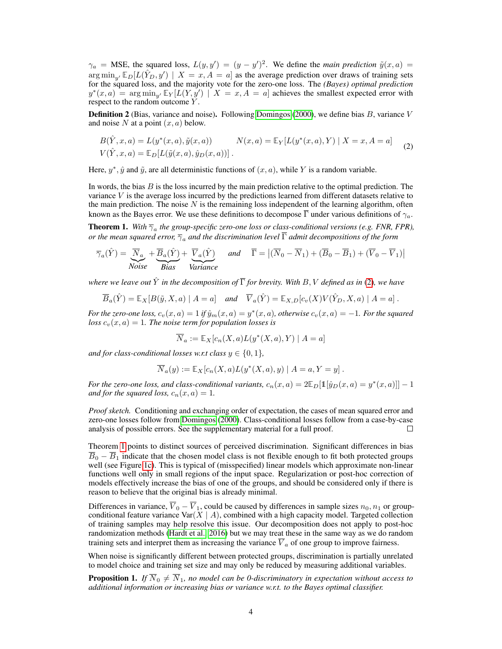$\gamma_a$  = MSE, the squared loss,  $L(y, y') = (y - y')^2$ . We define the *main prediction*  $\tilde{y}(x, a)$  =  $\arg \min_{y'} \mathbb{E}_D[L(\hat{Y}_D, y') | X = x, A = a]$  as the average prediction over draws of training sets for the squared loss, and the majority vote for the zero-one loss. The *(Bayes) optimal prediction*  $y^*(x, a) = \arg \min_{y'} \mathbb{E}_Y[L(Y, y') \mid X = x, A = a]$  achieves the smallest expected error with respect to the random outcome Y.

**Definition 2** (Bias, variance and noise). Following Domingos (2000), we define bias  $B$ , variance  $V$ and noise N at a point  $(x, a)$  below.

$$
B(\hat{Y}, x, a) = L(y^*(x, a), \tilde{y}(x, a)) \qquad N(x, a) = \mathbb{E}_Y[L(y^*(x, a), Y) | X = x, A = a] \qquad (2)
$$
  

$$
V(\hat{Y}, x, a) = \mathbb{E}_D[L(\tilde{y}(x, a), \hat{y}_D(x, a))].
$$

Here,  $y^*$ ,  $\hat{y}$  and  $\tilde{y}$ , are all deterministic functions of  $(x, a)$ , while Y is a random variable.

In words, the bias  $B$  is the loss incurred by the main prediction relative to the optimal prediction. The variance V is the average loss incurred by the predictions learned from different datasets relative to the main prediction. The noise  $N$  is the remaining loss independent of the learning algorithm, often known as the Bayes error. We use these definitions to decompose  $\overline{\Gamma}$  under various definitions of  $\gamma_a$ .

**Theorem 1.** With  $\overline{\gamma}_a$  the group-specific zero-one loss or class-conditional versions (e.g. FNR, FPR), *or the mean squared error,*  $\overline{\gamma}_a$  *and the discrimination level*  $\overline{\Gamma}$  *admit decompositions of the form* 

$$
\overline{\gamma}_a(\hat{Y}) = \underbrace{\overline{N}_a}_{Noise} + \underbrace{\overline{B}_a(\hat{Y})}_{Bias} + \underbrace{\overline{V}_a(\hat{Y})}_{Variance} \quad \text{and} \quad \overline{\Gamma} = |(\overline{N}_0 - \overline{N}_1) + (\overline{B}_0 - \overline{B}_1) + (\overline{V}_0 - \overline{V}_1)|
$$

*where we leave out*  $\hat{Y}$  *in the decomposition of*  $\overline{\Gamma}$  *for brevity. With*  $B, V$  *defined as in* (2)*, we have* 

$$
\overline{B}_a(\hat{Y}) = \mathbb{E}_X[B(\tilde{y}, X, a) \mid A = a] \quad \text{and} \quad \overline{V}_a(\hat{Y}) = \mathbb{E}_{X,D}[c_v(X)V(\hat{Y}_D, X, a) \mid A = a].
$$

*For the zero-one loss,*  $c_v(x, a) = 1$  *if*  $\hat{y}_m(x, a) = y^*(x, a)$ *, otherwise*  $c_v(x, a) = -1$ *. For the squared loss*  $c_v(x, a) = 1$ *. The noise term for population losses is* 

$$
\overline{N}_a := \mathbb{E}_X[c_n(X, a)L(y^*(X, a), Y) \mid A = a]
$$

*and for class-conditional losses w.r.t class*  $y \in \{0, 1\}$ *,* 

$$
\overline{N}_a(y) := \mathbb{E}_X[c_n(X, a)L(y^*(X, a), y) | A = a, Y = y].
$$

*For the zero-one loss, and class-conditional variants,*  $c_n(x, a) = 2\mathbb{E}_D[\mathbb{1}[\hat{y}_D(x, a) = y^*(x, a)]] - 1$ *and for the squared loss,*  $c_n(x, a) = 1$ .

*Proof sketch.* Conditioning and exchanging order of expectation, the cases of mean squared error and zero-one losses follow from Domingos (2000). Class-conditional losses follow from a case-by-case analysis of possible errors. See the supplementary material for a full proof. П

Theorem 1 points to distinct sources of perceived discrimination. Significant differences in bias  $\overline{B}_0 - \overline{B}_1$  indicate that the chosen model class is not flexible enough to fit both protected groups well (see Figure 1c). This is typical of (misspecified) linear models which approximate non-linear functions well only in small regions of the input space. Regularization or post-hoc correction of models effectively increase the bias of one of the groups, and should be considered only if there is reason to believe that the original bias is already minimal.

Differences in variance,  $\overline{V}_0 - \overline{V}_1$ , could be caused by differences in sample sizes  $n_0, n_1$  or groupconditional feature variance Var $(X \mid A)$ , combined with a high capacity model. Targeted collection of training samples may help resolve this issue. Our decomposition does not apply to post-hoc randomization methods (Hardt et al., 2016) but we may treat these in the same way as we do random training sets and interpret them as increasing the variance  $\overline{V}_a$  of one group to improve fairness.

When noise is significantly different between protected groups, discrimination is partially unrelated to model choice and training set size and may only be reduced by measuring additional variables.

**Proposition 1.** *If*  $\overline{N}_0 \neq \overline{N}_1$ , no model can be 0-discriminatory in expectation without access to *additional information or increasing bias or variance w.r.t. to the Bayes optimal classifier.*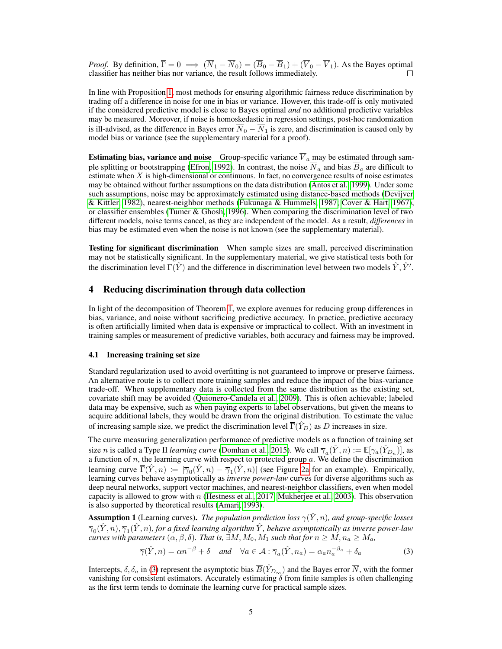*Proof.* By definition,  $\overline{\Gamma} = 0 \implies (\overline{N}_1 - \overline{N}_0) = (\overline{B}_0 - \overline{B}_1) + (\overline{V}_0 - \overline{V}_1)$ . As the Bayes optimal classifier has neither bias nor variance, the result follows immediately. classifier has neither bias nor variance, the result follows immediately.

In line with Proposition 1, most methods for ensuring algorithmic fairness reduce discrimination by trading off a difference in noise for one in bias or variance. However, this trade-off is only motivated if the considered predictive model is close to Bayes optimal *and* no additional predictive variables may be measured. Moreover, if noise is homoskedastic in regression settings, post-hoc randomization is ill-advised, as the difference in Bayes error  $\overline{N}_0 - \overline{N}_1$  is zero, and discrimination is caused only by model bias or variance (see the supplementary material for a proof).

**Estimating bias, variance and noise** Group-specific variance  $V_a$  may be estimated through sample splitting or bootstrapping (Efron, 1992). In contrast, the noise  $N_a$  and bias  $B_a$  are difficult to estimate when X is high-dimensional or continuous. In fact, no convergence results of noise estimates may be obtained without further assumptions on the data distribution (Antos et al., 1999). Under some such assumptions, noise may be approximately estimated using distance-based methods (Devijver & Kittler, 1982), nearest-neighbor methods (Fukunaga & Hummels, 1987; Cover & Hart, 1967), or classifier ensembles (Tumer  $&$  Ghosh, 1996). When comparing the discrimination level of two different models, noise terms cancel, as they are independent of the model. As a result, *differences* in bias may be estimated even when the noise is not known (see the supplementary material).

Testing for significant discrimination When sample sizes are small, perceived discrimination may not be statistically significant. In the supplementary material, we give statistical tests both for the discrimination level  $\Gamma(\hat{Y})$  and the difference in discrimination level between two models  $\hat{Y}, \hat{Y}'$ .

# 4 Reducing discrimination through data collection

In light of the decomposition of Theorem 1, we explore avenues for reducing group differences in bias, variance, and noise without sacrificing predictive accuracy. In practice, predictive accuracy is often artificially limited when data is expensive or impractical to collect. With an investment in training samples or measurement of predictive variables, both accuracy and fairness may be improved.

## 4.1 Increasing training set size

Standard regularization used to avoid overfitting is not guaranteed to improve or preserve fairness. An alternative route is to collect more training samples and reduce the impact of the bias-variance trade-off. When supplementary data is collected from the same distribution as the existing set, covariate shift may be avoided (Quionero-Candela et al., 2009). This is often achievable; labeled data may be expensive, such as when paying experts to label observations, but given the means to acquire additional labels, they would be drawn from the original distribution. To estimate the value of increasing sample size, we predict the discrimination level  $\overline{\Gamma}(\hat{Y}_D)$  as D increases in size.

The curve measuring generalization performance of predictive models as a function of training set size *n* is called a Type II *learning curve* (Domhan et al., 2015). We call  $\overline{\gamma}_a(\hat{Y}, n) := \mathbb{E}[\gamma_a(\hat{Y}_{D_n})]$ , as a function of n, the learning curve with respect to protected group  $a$ . We define the discrimination learning curve  $\overline{\Gamma}(\hat{Y}, n) := |\overline{\gamma}_0(\hat{Y}, n) - \overline{\gamma}_1(\hat{Y}, n)|$  (see Figure 2a for an example). Empirically, learning curves behave asymptotically as *inverse power-law* curves for diverse algorithms such as deep neural networks, support vector machines, and nearest-neighbor classifiers, even when model capacity is allowed to grow with  $n$  (Hestness et al., 2017; Mukherjee et al., 2003). This observation is also supported by theoretical results (Amari, 1993).

**Assumption 1** (Learning curves). *The population prediction loss*  $\overline{\gamma}(\hat{Y}, n)$ *, and group-specific losses*  $\overline{\gamma}_0(\hat{Y},n), \overline{\gamma}_1(\hat{Y},n)$ , for a fixed learning algorithm  $\hat{Y}$ , behave asymptotically as inverse power-law *curves with parameters*  $(\alpha, \beta, \delta)$ *. That is,*  $\exists M, M_0, M_1$  *such that for*  $n \geq M$ ,  $n_a \geq M_a$ ,

$$
\overline{\gamma}(\hat{Y}, n) = \alpha n^{-\beta} + \delta \quad \text{and} \quad \forall a \in \mathcal{A} : \overline{\gamma}_a(\hat{Y}, n_a) = \alpha_a n_a^{-\beta_a} + \delta_a \tag{3}
$$

Intercepts,  $\delta$ ,  $\delta_a$  in (3) represent the asymptotic bias  $\overline{B}(\hat{Y}_{D_{\infty}})$  and the Bayes error  $\overline{N}$ , with the former vanishing for consistent estimators. Accurately estimating  $\delta$  from finite samples is often challenging as the first term tends to dominate the learning curve for practical sample sizes.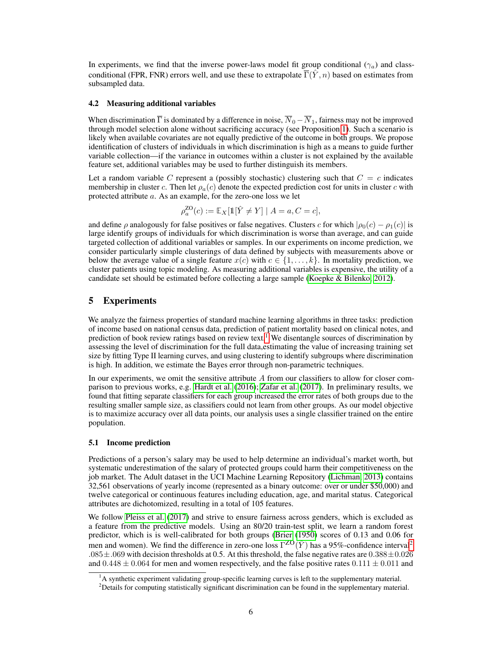In experiments, we find that the inverse power-laws model fit group conditional ( $\gamma_a$ ) and classconditional (FPR, FNR) errors well, and use these to extrapolate  $\overline{\Gamma}(\hat{Y}, n)$  based on estimates from subsampled data.

#### 4.2 Measuring additional variables

When discrimination  $\overline{\Gamma}$  is dominated by a difference in noise,  $\overline{N}_0 - \overline{N}_1$ , fairness may not be improved through model selection alone without sacrificing accuracy (see Proposition 1). Such a scenario is likely when available covariates are not equally predictive of the outcome in both groups. We propose identification of clusters of individuals in which discrimination is high as a means to guide further variable collection—if the variance in outcomes within a cluster is not explained by the available feature set, additional variables may be used to further distinguish its members.

Let a random variable C represent a (possibly stochastic) clustering such that  $C = c$  indicates membership in cluster c. Then let  $\rho_a(c)$  denote the expected prediction cost for units in cluster c with protected attribute a. As an example, for the zero-one loss we let

$$
\rho_a^{\text{ZO}}(c) := \mathbb{E}_X[\mathbb{1}[\hat{Y} \neq Y] \mid A = a, C = c],
$$

and define  $\rho$  analogously for false positives or false negatives. Clusters c for which  $|\rho_0(c) - \rho_1(c)|$  is large identify groups of individuals for which discrimination is worse than average, and can guide targeted collection of additional variables or samples. In our experiments on income prediction, we consider particularly simple clusterings of data defined by subjects with measurements above or below the average value of a single feature  $x(c)$  with  $c \in \{1, \ldots, k\}$ . In mortality prediction, we cluster patients using topic modeling. As measuring additional variables is expensive, the utility of a candidate set should be estimated before collecting a large sample (Koepke & Bilenko, 2012).

## 5 Experiments

We analyze the fairness properties of standard machine learning algorithms in three tasks: prediction of income based on national census data, prediction of patient mortality based on clinical notes, and prediction of book review ratings based on review text.<sup>1</sup> We disentangle sources of discrimination by assessing the level of discrimination for the full data,estimating the value of increasing training set size by fitting Type II learning curves, and using clustering to identify subgroups where discrimination is high. In addition, we estimate the Bayes error through non-parametric techniques.

In our experiments, we omit the sensitive attribute A from our classifiers to allow for closer comparison to previous works, e.g. Hardt et al. (2016); Zafar et al. (2017). In preliminary results, we found that fitting separate classifiers for each group increased the error rates of both groups due to the resulting smaller sample size, as classifiers could not learn from other groups. As our model objective is to maximize accuracy over all data points, our analysis uses a single classifier trained on the entire population.

#### 5.1 Income prediction

Predictions of a person's salary may be used to help determine an individual's market worth, but systematic underestimation of the salary of protected groups could harm their competitiveness on the job market. The Adult dataset in the UCI Machine Learning Repository (Lichman, 2013) contains 32,561 observations of yearly income (represented as a binary outcome: over or under \$50,000) and twelve categorical or continuous features including education, age, and marital status. Categorical attributes are dichotomized, resulting in a total of 105 features.

We follow Pleiss et al. (2017) and strive to ensure fairness across genders, which is excluded as a feature from the predictive models. Using an 80/20 train-test split, we learn a random forest predictor, which is is well-calibrated for both groups (Brier (1950) scores of 0.13 and 0.06 for men and women). We find the difference in zero-one loss  $\Gamma^{ZO}(\hat{Y})$  has a 95%-confidence interval<sup>2</sup> .085 $\pm$ .069 with decision thresholds at 0.5. At this threshold, the false negative rates are 0.388 $\pm$ 0.026 and  $0.448 \pm 0.064$  for men and women respectively, and the false positive rates  $0.111 \pm 0.011$  and

<sup>&</sup>lt;sup>1</sup>A synthetic experiment validating group-specific learning curves is left to the supplementary material.

 $2$ Details for computing statistically significant discrimination can be found in the supplementary material.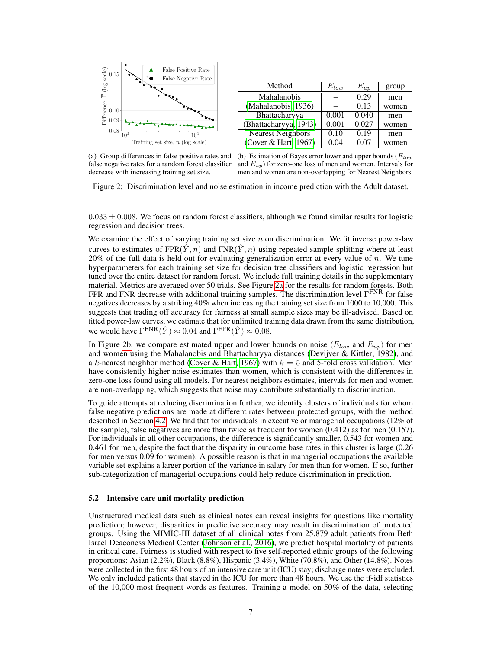

(a) Group differences in false positive rates and false negative rates for a random forest classifier decrease with increasing training set size.

(b) Estimation of Bayes error lower and upper bounds ( $E_{low}$ ) and  $E_{up}$ ) for zero-one loss of men and women. Intervals for men and women are non-overlapping for Nearest Neighbors.

Figure 2: Discrimination level and noise estimation in income prediction with the Adult dataset.

 $0.033 \pm 0.008$ . We focus on random forest classifiers, although we found similar results for logistic regression and decision trees.

We examine the effect of varying training set size  $n$  on discrimination. We fit inverse power-law curves to estimates of FPR $(\hat{Y}, n)$  and FNR $(\hat{Y}, n)$  using repeated sample splitting where at least 20% of the full data is held out for evaluating generalization error at every value of  $n$ . We tune hyperparameters for each training set size for decision tree classifiers and logistic regression but tuned over the entire dataset for random forest. We include full training details in the supplementary material. Metrics are averaged over 50 trials. See Figure 2a for the results for random forests. Both FPR and FNR decrease with additional training samples. The discrimination level  $\Gamma^{\text{FNR}}$  for false negatives decreases by a striking 40% when increasing the training set size from 1000 to 10,000. This suggests that trading off accuracy for fairness at small sample sizes may be ill-advised. Based on fitted power-law curves, we estimate that for unlimited training data drawn from the same distribution, we would have  $\Gamma^{\text{FNR}}(\hat{Y}) \approx 0.04$  and  $\Gamma^{\text{FPR}}(\hat{Y}) \approx 0.08$ .

In Figure 2b, we compare estimated upper and lower bounds on noise  $(E_{low}$  and  $E_{up}$ ) for men and women using the Mahalanobis and Bhattacharyya distances (Devijver & Kittler, 1982), and a k-nearest neighbor method (Cover & Hart, 1967) with  $k = 5$  and 5-fold cross validation. Men have consistently higher noise estimates than women, which is consistent with the differences in zero-one loss found using all models. For nearest neighbors estimates, intervals for men and women are non-overlapping, which suggests that noise may contribute substantially to discrimination.

To guide attempts at reducing discrimination further, we identify clusters of individuals for whom false negative predictions are made at different rates between protected groups, with the method described in Section 4.2. We find that for individuals in executive or managerial occupations (12% of the sample), false negatives are more than twice as frequent for women (0.412) as for men (0.157). For individuals in all other occupations, the difference is significantly smaller, 0.543 for women and 0.461 for men, despite the fact that the disparity in outcome base rates in this cluster is large (0.26 for men versus 0.09 for women). A possible reason is that in managerial occupations the available variable set explains a larger portion of the variance in salary for men than for women. If so, further sub-categorization of managerial occupations could help reduce discrimination in prediction.

#### 5.2 Intensive care unit mortality prediction

Unstructured medical data such as clinical notes can reveal insights for questions like mortality prediction; however, disparities in predictive accuracy may result in discrimination of protected groups. Using the MIMIC-III dataset of all clinical notes from 25,879 adult patients from Beth Israel Deaconess Medical Center (Johnson et al., 2016), we predict hospital mortality of patients in critical care. Fairness is studied with respect to five self-reported ethnic groups of the following proportions: Asian (2.2%), Black (8.8%), Hispanic (3.4%), White (70.8%), and Other (14.8%). Notes were collected in the first 48 hours of an intensive care unit (ICU) stay; discharge notes were excluded. We only included patients that stayed in the ICU for more than 48 hours. We use the tf-idf statistics of the 10,000 most frequent words as features. Training a model on 50% of the data, selecting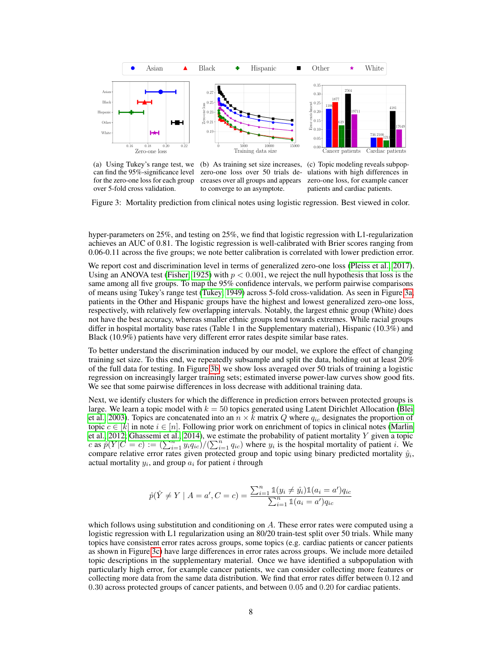

(a) Using Tukey's range test, we can find the 95%-significance level for the zero-one loss for each group over 5-fold cross validation.

(b) As training set size increases, zero-one loss over 50 trials decreases over all groups and appears to converge to an asymptote.

(c) Topic modeling reveals subpopulations with high differences in zero-one loss, for example cancer patients and cardiac patients.

Figure 3: Mortality prediction from clinical notes using logistic regression. Best viewed in color.

hyper-parameters on 25%, and testing on 25%, we find that logistic regression with L1-regularization achieves an AUC of 0.81. The logistic regression is well-calibrated with Brier scores ranging from 0.06-0.11 across the five groups; we note better calibration is correlated with lower prediction error.

We report cost and discrimination level in terms of generalized zero-one loss (Pleiss et al., 2017). Using an ANOVA test (Fisher, 1925) with  $p < 0.001$ , we reject the null hypothesis that loss is the same among all five groups. To map the 95% confidence intervals, we perform pairwise comparisons of means using Tukey's range test (Tukey, 1949) across 5-fold cross-validation. As seen in Figure 3a, patients in the Other and Hispanic groups have the highest and lowest generalized zero-one loss, respectively, with relatively few overlapping intervals. Notably, the largest ethnic group (White) does not have the best accuracy, whereas smaller ethnic groups tend towards extremes. While racial groups differ in hospital mortality base rates (Table 1 in the Supplementary material), Hispanic (10.3%) and Black (10.9%) patients have very different error rates despite similar base rates.

To better understand the discrimination induced by our model, we explore the effect of changing training set size. To this end, we repeatedly subsample and split the data, holding out at least 20% of the full data for testing. In Figure 3b, we show loss averaged over 50 trials of training a logistic regression on increasingly larger training sets; estimated inverse power-law curves show good fits. We see that some pairwise differences in loss decrease with additional training data.

Next, we identify clusters for which the difference in prediction errors between protected groups is large. We learn a topic model with  $k = 50$  topics generated using Latent Dirichlet Allocation (Blei et al., 2003). Topics are concatenated into an  $n \times k$  matrix Q where  $q_{ic}$  designates the proportion of topic  $c \in [k]$  in note  $i \in [n]$ . Following prior work on enrichment of topics in clinical notes (Marlin et al., 2012; Ghassemi et al., 2014), we estimate the probability of patient mortality  $Y$  given a topic c as  $\hat{p}(Y|C = c) := \left(\sum_{i=1}^n y_i q_{ic}\right) / \left(\sum_{i=1}^n q_{ic}\right)$  where  $y_i$  is the hospital mortality of patient *i*. We compare relative error rates given protected group and topic using binary predicted mortality  $\hat{y}_i$ , actual mortality  $y_i$ , and group  $a_i$  for patient i through

$$
\hat{p}(\hat{Y} \neq Y \mid A = a', C = c) = \frac{\sum_{i=1}^{n} \mathbb{1}(y_i \neq \hat{y}_i) \mathbb{1}(a_i = a')q_{ic}}{\sum_{i=1}^{n} \mathbb{1}(a_i = a')q_{ic}}
$$

which follows using substitution and conditioning on A. These error rates were computed using a logistic regression with L1 regularization using an 80/20 train-test split over 50 trials. While many topics have consistent error rates across groups, some topics (e.g. cardiac patients or cancer patients as shown in Figure 3c) have large differences in error rates across groups. We include more detailed topic descriptions in the supplementary material. Once we have identified a subpopulation with particularly high error, for example cancer patients, we can consider collecting more features or collecting more data from the same data distribution. We find that error rates differ between 0.12 and 0.30 across protected groups of cancer patients, and between 0.05 and 0.20 for cardiac patients.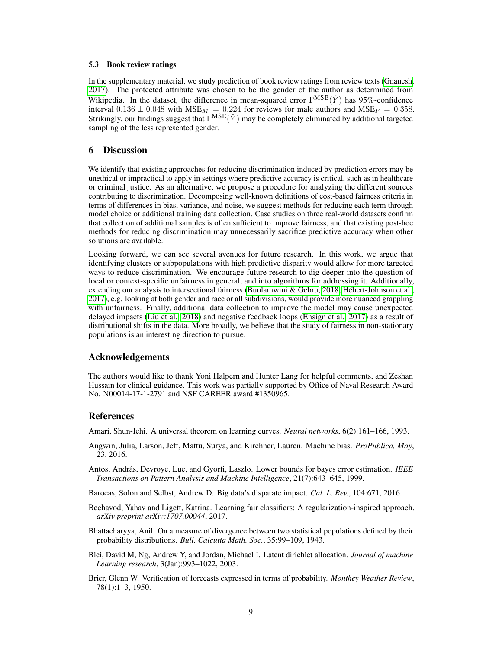#### 5.3 Book review ratings

In the supplementary material, we study prediction of book review ratings from review texts (Gnanesh, 2017). The protected attribute was chosen to be the gender of the author as determined from Wikipedia. In the dataset, the difference in mean-squared error  $\Gamma^{MSE}(\hat{Y})$  has 95%-confidence interval  $0.136 \pm 0.048$  with MSE<sub>M</sub> = 0.224 for reviews for male authors and MSE<sub>F</sub> = 0.358. Strikingly, our findings suggest that  $\Gamma^{MSE}(\hat{Y})$  may be completely eliminated by additional targeted sampling of the less represented gender.

# 6 Discussion

We identify that existing approaches for reducing discrimination induced by prediction errors may be unethical or impractical to apply in settings where predictive accuracy is critical, such as in healthcare or criminal justice. As an alternative, we propose a procedure for analyzing the different sources contributing to discrimination. Decomposing well-known definitions of cost-based fairness criteria in terms of differences in bias, variance, and noise, we suggest methods for reducing each term through model choice or additional training data collection. Case studies on three real-world datasets confirm that collection of additional samples is often sufficient to improve fairness, and that existing post-hoc methods for reducing discrimination may unnecessarily sacrifice predictive accuracy when other solutions are available.

Looking forward, we can see several avenues for future research. In this work, we argue that identifying clusters or subpopulations with high predictive disparity would allow for more targeted ways to reduce discrimination. We encourage future research to dig deeper into the question of local or context-specific unfairness in general, and into algorithms for addressing it. Additionally, extending our analysis to intersectional fairness (Buolamwini & Gebru, 2018; Hébert-Johnson et al., 2017), e.g. looking at both gender and race or all subdivisions, would provide more nuanced grappling with unfairness. Finally, additional data collection to improve the model may cause unexpected delayed impacts (Liu et al., 2018) and negative feedback loops (Ensign et al., 2017) as a result of distributional shifts in the data. More broadly, we believe that the study of fairness in non-stationary populations is an interesting direction to pursue.

#### Acknowledgements

The authors would like to thank Yoni Halpern and Hunter Lang for helpful comments, and Zeshan Hussain for clinical guidance. This work was partially supported by Office of Naval Research Award No. N00014-17-1-2791 and NSF CAREER award #1350965.

## References

Amari, Shun-Ichi. A universal theorem on learning curves. *Neural networks*, 6(2):161–166, 1993.

- Angwin, Julia, Larson, Jeff, Mattu, Surya, and Kirchner, Lauren. Machine bias. *ProPublica, May*, 23, 2016.
- Antos, András, Devroye, Luc, and Gyorfi, Laszlo. Lower bounds for bayes error estimation. *IEEE Transactions on Pattern Analysis and Machine Intelligence*, 21(7):643–645, 1999.
- Barocas, Solon and Selbst, Andrew D. Big data's disparate impact. *Cal. L. Rev.*, 104:671, 2016.
- Bechavod, Yahav and Ligett, Katrina. Learning fair classifiers: A regularization-inspired approach. *arXiv preprint arXiv:1707.00044*, 2017.
- Bhattacharyya, Anil. On a measure of divergence between two statistical populations defined by their probability distributions. *Bull. Calcutta Math. Soc.*, 35:99–109, 1943.
- Blei, David M, Ng, Andrew Y, and Jordan, Michael I. Latent dirichlet allocation. *Journal of machine Learning research*, 3(Jan):993–1022, 2003.
- Brier, Glenn W. Verification of forecasts expressed in terms of probability. *Monthey Weather Review*, 78(1):1–3, 1950.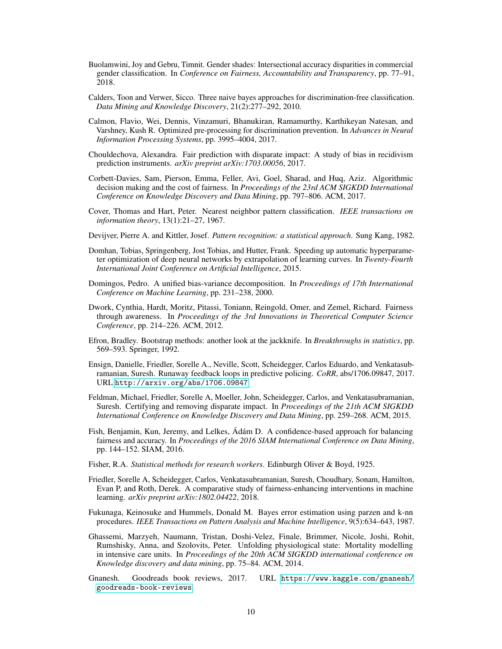- Buolamwini, Joy and Gebru, Timnit. Gender shades: Intersectional accuracy disparities in commercial gender classification. In *Conference on Fairness, Accountability and Transparency*, pp. 77–91, 2018.
- Calders, Toon and Verwer, Sicco. Three naive bayes approaches for discrimination-free classification. *Data Mining and Knowledge Discovery*, 21(2):277–292, 2010.
- Calmon, Flavio, Wei, Dennis, Vinzamuri, Bhanukiran, Ramamurthy, Karthikeyan Natesan, and Varshney, Kush R. Optimized pre-processing for discrimination prevention. In *Advances in Neural Information Processing Systems*, pp. 3995–4004, 2017.
- Chouldechova, Alexandra. Fair prediction with disparate impact: A study of bias in recidivism prediction instruments. *arXiv preprint arXiv:1703.00056*, 2017.
- Corbett-Davies, Sam, Pierson, Emma, Feller, Avi, Goel, Sharad, and Huq, Aziz. Algorithmic decision making and the cost of fairness. In *Proceedings of the 23rd ACM SIGKDD International Conference on Knowledge Discovery and Data Mining*, pp. 797–806. ACM, 2017.
- Cover, Thomas and Hart, Peter. Nearest neighbor pattern classification. *IEEE transactions on information theory*, 13(1):21–27, 1967.
- Devijver, Pierre A. and Kittler, Josef. *Pattern recognition: a statistical approach*. Sung Kang, 1982.
- Domhan, Tobias, Springenberg, Jost Tobias, and Hutter, Frank. Speeding up automatic hyperparameter optimization of deep neural networks by extrapolation of learning curves. In *Twenty-Fourth International Joint Conference on Artificial Intelligence*, 2015.
- Domingos, Pedro. A unified bias-variance decomposition. In *Proceedings of 17th International Conference on Machine Learning*, pp. 231–238, 2000.
- Dwork, Cynthia, Hardt, Moritz, Pitassi, Toniann, Reingold, Omer, and Zemel, Richard. Fairness through awareness. In *Proceedings of the 3rd Innovations in Theoretical Computer Science Conference*, pp. 214–226. ACM, 2012.
- Efron, Bradley. Bootstrap methods: another look at the jackknife. In *Breakthroughs in statistics*, pp. 569–593. Springer, 1992.
- Ensign, Danielle, Friedler, Sorelle A., Neville, Scott, Scheidegger, Carlos Eduardo, and Venkatasubramanian, Suresh. Runaway feedback loops in predictive policing. *CoRR*, abs/1706.09847, 2017. URL <http://arxiv.org/abs/1706.09847>.
- Feldman, Michael, Friedler, Sorelle A, Moeller, John, Scheidegger, Carlos, and Venkatasubramanian, Suresh. Certifying and removing disparate impact. In *Proceedings of the 21th ACM SIGKDD International Conference on Knowledge Discovery and Data Mining*, pp. 259–268. ACM, 2015.
- Fish, Benjamin, Kun, Jeremy, and Lelkes, Ádám D. A confidence-based approach for balancing fairness and accuracy. In *Proceedings of the 2016 SIAM International Conference on Data Mining*, pp. 144–152. SIAM, 2016.
- Fisher, R.A. *Statistical methods for research workers*. Edinburgh Oliver & Boyd, 1925.
- Friedler, Sorelle A, Scheidegger, Carlos, Venkatasubramanian, Suresh, Choudhary, Sonam, Hamilton, Evan P, and Roth, Derek. A comparative study of fairness-enhancing interventions in machine learning. *arXiv preprint arXiv:1802.04422*, 2018.
- Fukunaga, Keinosuke and Hummels, Donald M. Bayes error estimation using parzen and k-nn procedures. *IEEE Transactions on Pattern Analysis and Machine Intelligence*, 9(5):634–643, 1987.
- Ghassemi, Marzyeh, Naumann, Tristan, Doshi-Velez, Finale, Brimmer, Nicole, Joshi, Rohit, Rumshisky, Anna, and Szolovits, Peter. Unfolding physiological state: Mortality modelling in intensive care units. In *Proceedings of the 20th ACM SIGKDD international conference on Knowledge discovery and data mining*, pp. 75–84. ACM, 2014.
- Gnanesh. Goodreads book reviews, 2017. URL [https://www.kaggle.com/gnanesh/](https://www.kaggle.com/gnanesh/goodreads-book-reviews) [goodreads-book-reviews](https://www.kaggle.com/gnanesh/goodreads-book-reviews).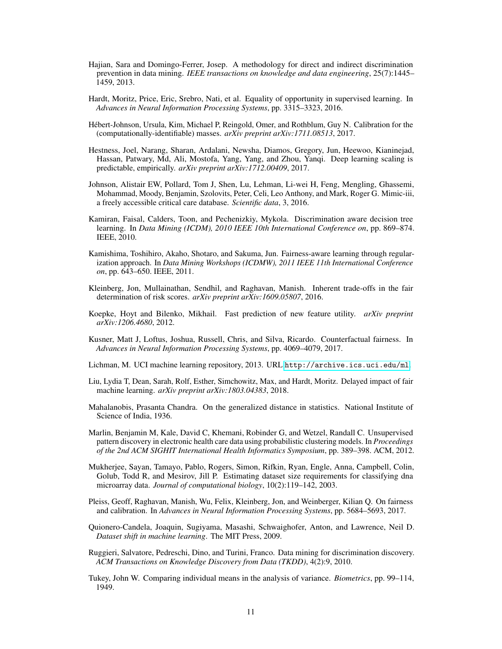- Hajian, Sara and Domingo-Ferrer, Josep. A methodology for direct and indirect discrimination prevention in data mining. *IEEE transactions on knowledge and data engineering*, 25(7):1445– 1459, 2013.
- Hardt, Moritz, Price, Eric, Srebro, Nati, et al. Equality of opportunity in supervised learning. In *Advances in Neural Information Processing Systems*, pp. 3315–3323, 2016.
- Hébert-Johnson, Ursula, Kim, Michael P, Reingold, Omer, and Rothblum, Guy N. Calibration for the (computationally-identifiable) masses. *arXiv preprint arXiv:1711.08513*, 2017.
- Hestness, Joel, Narang, Sharan, Ardalani, Newsha, Diamos, Gregory, Jun, Heewoo, Kianinejad, Hassan, Patwary, Md, Ali, Mostofa, Yang, Yang, and Zhou, Yanqi. Deep learning scaling is predictable, empirically. *arXiv preprint arXiv:1712.00409*, 2017.
- Johnson, Alistair EW, Pollard, Tom J, Shen, Lu, Lehman, Li-wei H, Feng, Mengling, Ghassemi, Mohammad, Moody, Benjamin, Szolovits, Peter, Celi, Leo Anthony, and Mark, Roger G. Mimic-iii, a freely accessible critical care database. *Scientific data*, 3, 2016.
- Kamiran, Faisal, Calders, Toon, and Pechenizkiy, Mykola. Discrimination aware decision tree learning. In *Data Mining (ICDM), 2010 IEEE 10th International Conference on*, pp. 869–874. IEEE, 2010.
- Kamishima, Toshihiro, Akaho, Shotaro, and Sakuma, Jun. Fairness-aware learning through regularization approach. In *Data Mining Workshops (ICDMW), 2011 IEEE 11th International Conference on*, pp. 643–650. IEEE, 2011.
- Kleinberg, Jon, Mullainathan, Sendhil, and Raghavan, Manish. Inherent trade-offs in the fair determination of risk scores. *arXiv preprint arXiv:1609.05807*, 2016.
- Koepke, Hoyt and Bilenko, Mikhail. Fast prediction of new feature utility. *arXiv preprint arXiv:1206.4680*, 2012.
- Kusner, Matt J, Loftus, Joshua, Russell, Chris, and Silva, Ricardo. Counterfactual fairness. In *Advances in Neural Information Processing Systems*, pp. 4069–4079, 2017.
- Lichman, M. UCI machine learning repository, 2013. URL <http://archive.ics.uci.edu/ml>.
- Liu, Lydia T, Dean, Sarah, Rolf, Esther, Simchowitz, Max, and Hardt, Moritz. Delayed impact of fair machine learning. *arXiv preprint arXiv:1803.04383*, 2018.
- Mahalanobis, Prasanta Chandra. On the generalized distance in statistics. National Institute of Science of India, 1936.
- Marlin, Benjamin M, Kale, David C, Khemani, Robinder G, and Wetzel, Randall C. Unsupervised pattern discovery in electronic health care data using probabilistic clustering models. In *Proceedings of the 2nd ACM SIGHIT International Health Informatics Symposium*, pp. 389–398. ACM, 2012.
- Mukherjee, Sayan, Tamayo, Pablo, Rogers, Simon, Rifkin, Ryan, Engle, Anna, Campbell, Colin, Golub, Todd R, and Mesirov, Jill P. Estimating dataset size requirements for classifying dna microarray data. *Journal of computational biology*, 10(2):119–142, 2003.
- Pleiss, Geoff, Raghavan, Manish, Wu, Felix, Kleinberg, Jon, and Weinberger, Kilian Q. On fairness and calibration. In *Advances in Neural Information Processing Systems*, pp. 5684–5693, 2017.
- Quionero-Candela, Joaquin, Sugiyama, Masashi, Schwaighofer, Anton, and Lawrence, Neil D. *Dataset shift in machine learning*. The MIT Press, 2009.
- Ruggieri, Salvatore, Pedreschi, Dino, and Turini, Franco. Data mining for discrimination discovery. *ACM Transactions on Knowledge Discovery from Data (TKDD)*, 4(2):9, 2010.
- Tukey, John W. Comparing individual means in the analysis of variance. *Biometrics*, pp. 99–114, 1949.